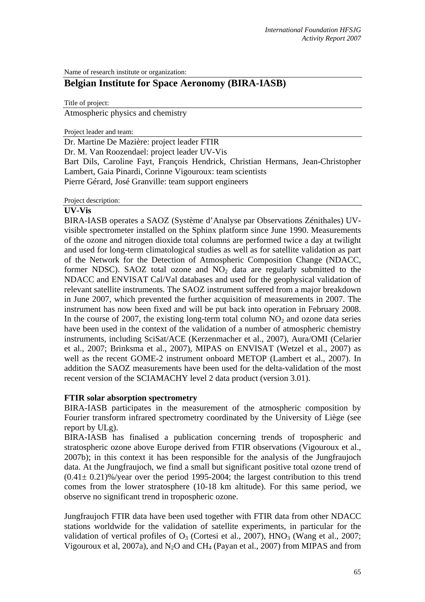Name of research institute or organization:

# **Belgian Institute for Space Aeronomy (BIRA-IASB)**

Title of project:

Atmospheric physics and chemistry

Project leader and team:

Dr. Martine De Mazière: project leader FTIR

Dr. M. Van Roozendael: project leader UV-Vis

Bart Dils, Caroline Fayt, François Hendrick, Christian Hermans, Jean-Christopher Lambert, Gaia Pinardi, Corinne Vigouroux: team scientists Pierre Gérard, José Granville: team support engineers

Project description:

### **UV-Vis**

BIRA-IASB operates a SAOZ (Système d'Analyse par Observations Zénithales) UVvisible spectrometer installed on the Sphinx platform since June 1990. Measurements of the ozone and nitrogen dioxide total columns are performed twice a day at twilight and used for long-term climatological studies as well as for satellite validation as part of the Network for the Detection of Atmospheric Composition Change (NDACC, former NDSC). SAOZ total ozone and  $NO<sub>2</sub>$  data are regularly submitted to the NDACC and ENVISAT Cal/Val databases and used for the geophysical validation of relevant satellite instruments. The SAOZ instrument suffered from a major breakdown in June 2007, which prevented the further acquisition of measurements in 2007. The instrument has now been fixed and will be put back into operation in February 2008. In the course of 2007, the existing long-term total column  $NO<sub>2</sub>$  and ozone data series have been used in the context of the validation of a number of atmospheric chemistry instruments, including SciSat/ACE (Kerzenmacher et al., 2007), Aura/OMI (Celarier et al., 2007; Brinksma et al., 2007), MIPAS on ENVISAT (Wetzel et al., 2007) as well as the recent GOME-2 instrument onboard METOP (Lambert et al., 2007). In addition the SAOZ measurements have been used for the delta-validation of the most recent version of the SCIAMACHY level 2 data product (version 3.01).

## **FTIR solar absorption spectrometry**

BIRA-IASB participates in the measurement of the atmospheric composition by Fourier transform infrared spectrometry coordinated by the University of Liège (see report by ULg).

BIRA-IASB has finalised a publication concerning trends of tropospheric and stratospheric ozone above Europe derived from FTIR observations (Vigouroux et al., 2007b); in this context it has been responsible for the analysis of the Jungfraujoch data. At the Jungfraujoch, we find a small but significant positive total ozone trend of  $(0.41 \pm 0.21)\%$ /year over the period 1995-2004; the largest contribution to this trend comes from the lower stratosphere (10-18 km altitude). For this same period, we observe no significant trend in tropospheric ozone.

Jungfraujoch FTIR data have been used together with FTIR data from other NDACC stations worldwide for the validation of satellite experiments, in particular for the validation of vertical profiles of  $O_3$  (Cortesi et al., 2007), HNO<sub>3</sub> (Wang et al., 2007; Vigouroux et al, 2007a), and  $N_2O$  and CH<sub>4</sub> (Payan et al., 2007) from MIPAS and from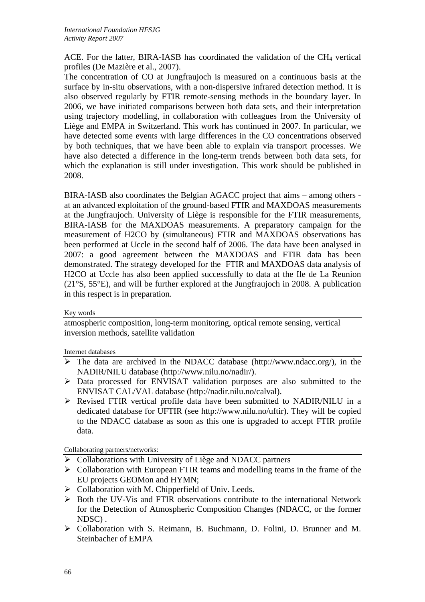ACE. For the latter, BIRA-IASB has coordinated the validation of the  $CH<sub>4</sub>$  vertical profiles (De Mazière et al., 2007).

The concentration of CO at Jungfraujoch is measured on a continuous basis at the surface by in-situ observations, with a non-dispersive infrared detection method. It is also observed regularly by FTIR remote-sensing methods in the boundary layer. In 2006, we have initiated comparisons between both data sets, and their interpretation using trajectory modelling, in collaboration with colleagues from the University of Liège and EMPA in Switzerland. This work has continued in 2007. In particular, we have detected some events with large differences in the CO concentrations observed by both techniques, that we have been able to explain via transport processes. We have also detected a difference in the long-term trends between both data sets, for which the explanation is still under investigation. This work should be published in 2008.

BIRA-IASB also coordinates the Belgian AGACC project that aims – among others at an advanced exploitation of the ground-based FTIR and MAXDOAS measurements at the Jungfraujoch. University of Liège is responsible for the FTIR measurements, BIRA-IASB for the MAXDOAS measurements. A preparatory campaign for the measurement of H2CO by (simultaneous) FTIR and MAXDOAS observations has been performed at Uccle in the second half of 2006. The data have been analysed in 2007: a good agreement between the MAXDOAS and FTIR data has been demonstrated. The strategy developed for the FTIR and MAXDOAS data analysis of H2CO at Uccle has also been applied successfully to data at the Ile de La Reunion (21°S, 55°E), and will be further explored at the Jungfraujoch in 2008. A publication in this respect is in preparation.

## Key words

atmospheric composition, long-term monitoring, optical remote sensing, vertical inversion methods, satellite validation

### Internet databases

- $\triangleright$  The data are archived in the NDACC database (http://www.ndacc.org/), in the NADIR/NILU database (http://www.nilu.no/nadir/).
- ¾ Data processed for ENVISAT validation purposes are also submitted to the ENVISAT CAL/VAL database (http://nadir.nilu.no/calval).
- ¾ Revised FTIR vertical profile data have been submitted to NADIR/NILU in a dedicated database for UFTIR (see http://www.nilu.no/uftir). They will be copied to the NDACC database as soon as this one is upgraded to accept FTIR profile data.

Collaborating partners/networks:

- $\triangleright$  Collaborations with University of Liège and NDACC partners
- $\triangleright$  Collaboration with European FTIR teams and modelling teams in the frame of the EU projects GEOMon and HYMN;
- $\triangleright$  Collaboration with M. Chipperfield of Univ. Leeds.
- $\triangleright$  Both the UV-V is and FTIR observations contribute to the international Network for the Detection of Atmospheric Composition Changes (NDACC, or the former NDSC) .
- ¾ Collaboration with S. Reimann, B. Buchmann, D. Folini, D. Brunner and M. Steinbacher of EMPA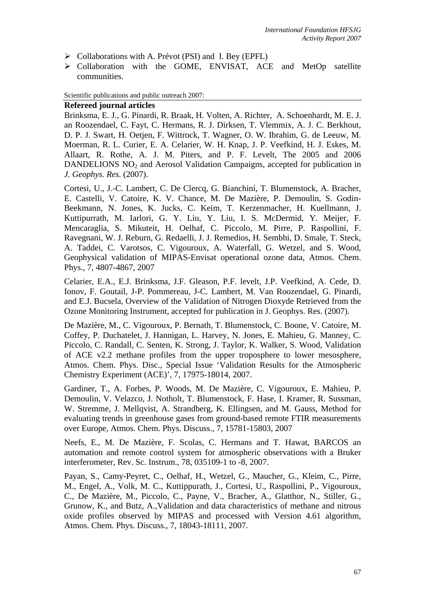- $\triangleright$  Collaborations with A. Prévot (PSI) and I. Bey (EPFL)
- ¾ Collaboration with the GOME, ENVISAT, ACE and MetOp satellite communities.

Scientific publications and public outreach 2007:

#### **Refereed journal articles**

Brinksma, E. J., G. Pinardi, R. Braak, H. Volten, A. Richter, A. Schoenhardt, M. E. J. an Roozendael, C. Fayt, C. Hermans, R. J. Dirksen, T. Vlemmix, A. J. C. Berkhout, D. P. J. Swart, H. Oetjen, F. Wittrock, T. Wagner, O. W. Ibrahim, G. de Leeuw, M. Moerman, R. L. Curier, E. A. Celarier, W. H. Knap, J. P. Veefkind, H. J. Eskes, M. Allaart, R. Rothe, A. J. M. Piters, and P. F. Levelt, The 2005 and 2006 DANDELIONS NO<sub>2</sub> and Aerosol Validation Campaigns, accepted for publication in *J. Geophys. Res.* (2007).

Cortesi, U., J.-C. Lambert, C. De Clercq, G. Bianchini, T. Blumenstock, A. Bracher, E. Castelli, V. Catoire, K. V. Chance, M. De Mazière, P. Demoulin, S. Godin-Beekmann, N. Jones, K. Jucks, C. Keim, T. Kerzenmacher, H. Kuellmann, J. Kuttipurrath, M. Iarlori, G. Y. Liu, Y. Liu, I. S. McDermid, Y. Meijer, F. Mencaraglia, S. Mikuteit, H. Oelhaf, C. Piccolo, M. Pirre, P. Raspollini, F. Ravegnani, W. J. Reburn, G. Redaelli, J. J. Remedios, H. Sembhi, D. Smale, T. Steck, A. Taddei, C. Varotsos, C. Vigouroux, A. Waterfall, G. Wetzel, and S. Wood, Geophysical validation of MIPAS-Envisat operational ozone data, Atmos. Chem. Phys., 7, 4807-4867, 2007

Celarier, E.A., E.J. Brinksma, J.F. Gleason, P.F. levelt, J.P. Veefkind, A. Cede, D. Ionov, F. Goutail, J-P. Pommereau, J-C. Lambert, M. Van Roozendael, G. Pinardi, and E.J. Bucsela, Overview of the Validation of Nitrogen Dioxyde Retrieved from the Ozone Monitoring Instrument, accepted for publication in J. Geophys. Res. (2007).

De Mazière, M., C. Vigouroux, P. Bernath, T. Blumenstock, C. Boone, V. Catoire, M. Coffey, P. Duchatelet, J. Hannigan, L. Harvey, N. Jones, E. Mahieu, G. Manney, C. Piccolo, C. Randall, C. Senten, K. Strong, J. Taylor, K. Walker, S. Wood, Validation of ACE v2.2 methane profiles from the upper troposphere to lower mesosphere, Atmos. Chem. Phys. Disc., Special Issue 'Validation Results for the Atmospheric Chemistry Experiment (ACE)', 7, 17975-18014, 2007.

Gardiner, T., A. Forbes, P. Woods, M. De Mazière, C. Vigouroux, E. Mahieu, P. Demoulin, V. Velazco, J. Notholt, T. Blumenstock, F. Hase, I. Kramer, R. Sussman, W. Stremme, J. Mellqvist, A. Strandberg, K. Ellingsen, and M. Gauss, Method for evaluating trends in greenhouse gases from ground-based remote FTIR measurements over Europe, Atmos. Chem. Phys. Discuss., 7, 15781-15803, 2007

Neefs, E., M. De Mazière, F. Scolas, C. Hermans and T. Hawat, BARCOS an automation and remote control system for atmospheric observations with a Bruker interferometer, Rev. Sc. Instrum., 78, 035109-1 to -8, 2007.

Payan, S., Camy-Peyret, C., Oelhaf, H., Wetzel, G., Maucher, G., Kleim, C., Pirre, M., Engel, A., Volk, M. C., Kuttippurath, J., Cortesi, U., Raspollini, P., Vigouroux, C., De Mazière, M., Piccolo, C., Payne, V., Bracher, A., Glatthor, N., Stiller, G., Grunow, K., and Butz, A.,Validation and data characteristics of methane and nitrous oxide profiles observed by MIPAS and processed with Version 4.61 algorithm, Atmos. Chem. Phys. Discuss., 7, 18043-18111, 2007.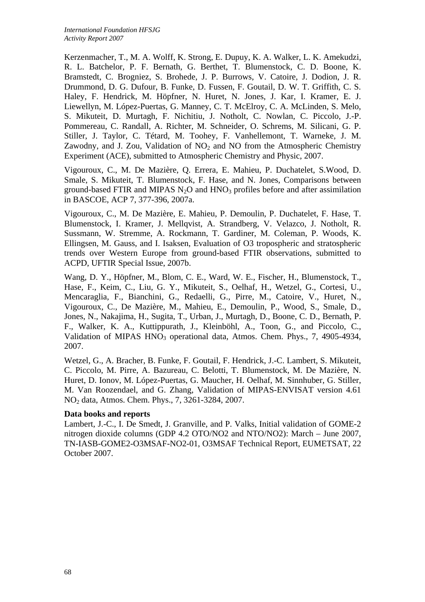Kerzenmacher, T., M. A. Wolff, K. Strong, E. Dupuy, K. A. Walker, L. K. Amekudzi, R. L. Batchelor, P. F. Bernath, G. Berthet, T. Blumenstock, C. D. Boone, K. Bramstedt, C. Brogniez, S. Brohede, J. P. Burrows, V. Catoire, J. Dodion, J. R. Drummond, D. G. Dufour, B. Funke, D. Fussen, F. Goutail, D. W. T. Griffith, C. S. Haley, F. Hendrick, M. Höpfner, N. Huret, N. Jones, J. Kar, I. Kramer, E. J. Liewellyn, M. López-Puertas, G. Manney, C. T. McElroy, C. A. McLinden, S. Melo, S. Mikuteit, D. Murtagh, F. Nichitiu, J. Notholt, C. Nowlan, C. Piccolo, J.-P. Pommereau, C. Randall, A. Richter, M. Schneider, O. Schrems, M. Silicani, G. P. Stiller, J. Taylor, C. Tétard, M. Toohey, F. Vanhellemont, T. Warneke, J. M. Zawodny, and J. Zou, Validation of  $NO<sub>2</sub>$  and NO from the Atmospheric Chemistry Experiment (ACE), submitted to Atmospheric Chemistry and Physic, 2007.

Vigouroux, C., M. De Mazière, Q. Errera, E. Mahieu, P. Duchatelet, S.Wood, D. Smale, S. Mikuteit, T. Blumenstock, F. Hase, and N. Jones, Comparisons between ground-based FTIR and MIPAS  $N_2O$  and HNO<sub>3</sub> profiles before and after assimilation in BASCOE, ACP 7, 377-396, 2007a.

Vigouroux, C., M. De Mazière, E. Mahieu, P. Demoulin, P. Duchatelet, F. Hase, T. Blumenstock, I. Kramer, J. Mellqvist, A. Strandberg, V. Velazco, J. Notholt, R. Sussmann, W. Stremme, A. Rockmann, T. Gardiner, M. Coleman, P. Woods, K. Ellingsen, M. Gauss, and I. Isaksen, Evaluation of O3 tropospheric and stratospheric trends over Western Europe from ground-based FTIR observations, submitted to ACPD, UFTIR Special Issue, 2007b.

Wang, D. Y., Höpfner, M., Blom, C. E., Ward, W. E., Fischer, H., Blumenstock, T., Hase, F., Keim, C., Liu, G. Y., Mikuteit, S., Oelhaf, H., Wetzel, G., Cortesi, U., Mencaraglia, F., Bianchini, G., Redaelli, G., Pirre, M., Catoire, V., Huret, N., Vigouroux, C., De Mazière, M., Mahieu, E., Demoulin, P., Wood, S., Smale, D., Jones, N., Nakajima, H., Sugita, T., Urban, J., Murtagh, D., Boone, C. D., Bernath, P. F., Walker, K. A., Kuttippurath, J., Kleinböhl, A., Toon, G., and Piccolo, C., Validation of MIPAS HNO<sub>3</sub> operational data, Atmos. Chem. Phys., 7, 4905-4934, 2007.

Wetzel, G., A. Bracher, B. Funke, F. Goutail, F. Hendrick, J.-C. Lambert, S. Mikuteit, C. Piccolo, M. Pirre, A. Bazureau, C. Belotti, T. Blumenstock, M. De Mazière, N. Huret, D. Ionov, M. López-Puertas, G. Maucher, H. Oelhaf, M. Sinnhuber, G. Stiller, M. Van Roozendael, and G. Zhang, Validation of MIPAS-ENVISAT version 4.61 NO2 data, Atmos. Chem. Phys., 7, 3261-3284, 2007.

## **Data books and reports**

Lambert, J.-C., I. De Smedt, J. Granville, and P. Valks, Initial validation of GOME-2 nitrogen dioxide columns (GDP 4.2 OTO/NO2 and NTO/NO2): March – June 2007, TN-IASB-GOME2-O3MSAF-NO2-01, O3MSAF Technical Report, EUMETSAT, 22 October 2007.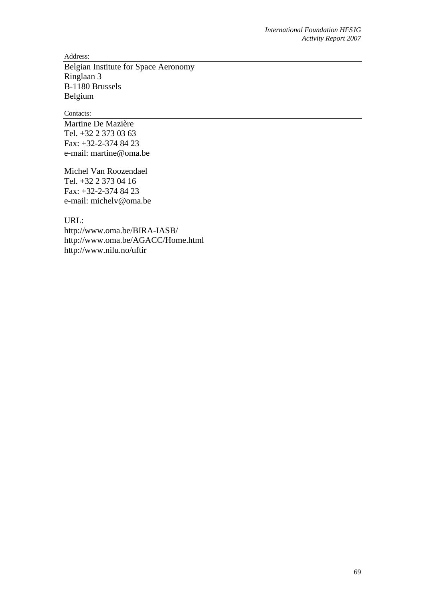Address:

Belgian Institute for Space Aeronomy Ringlaan 3 B-1180 Brussels Belgium

Contacts:

Martine De Mazière Tel. +32 2 373 03 63 Fax: +32-2-374 84 23 e-mail: martine@oma.be

Michel Van Roozendael Tel. +32 2 373 04 16 Fax: +32-2-374 84 23 e-mail: michelv@oma.be

URL:

http://www.oma.be/BIRA-IASB/ http://www.oma.be/AGACC/Home.html http://www.nilu.no/uftir